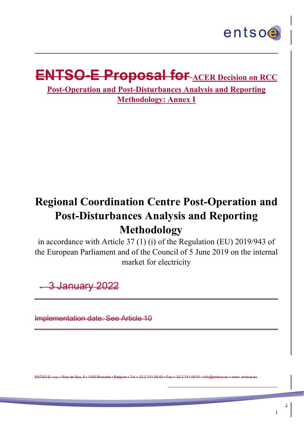

# **ENTSO-E Proposal for ACER Decision on RCC**

**Post-Operation and Post-Disturbances Analysis and Reporting Methodology: Annex I**

# **Regional Coordination Centre Post-Operation and Post-Disturbances Analysis and Reporting Methodology**

in accordance with Article 37 (1) (i) of the Regulation (EU) 2019/943 of the European Parliament and of the Council of 5 June 2019 on the internal market for electricity

3 January 2022

j

Implementation date: See Article 10

ENTSO-E AISBL • Rue de Spa, 8 • 1000 Brussels • Belgium • Tel + 32 2 741 09 50 • Fax + 32 2 741 09 51 • info@entsoe.eu • www. entsoe.eu

-

 $\ddagger$ 

1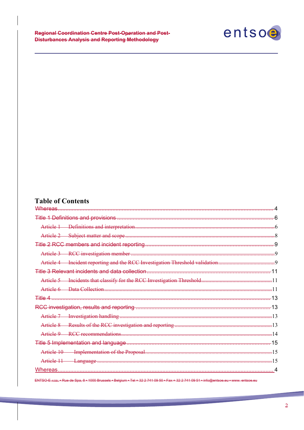

# **Table of Contents**

j

| Whereas                                                           |  |
|-------------------------------------------------------------------|--|
|                                                                   |  |
|                                                                   |  |
|                                                                   |  |
|                                                                   |  |
|                                                                   |  |
| Incident reporting and the RCC Investigation Threshold validation |  |
|                                                                   |  |
|                                                                   |  |
|                                                                   |  |
| Title 4                                                           |  |
|                                                                   |  |
|                                                                   |  |
|                                                                   |  |
| Article 9                                                         |  |
|                                                                   |  |
|                                                                   |  |
| Article 11                                                        |  |
|                                                                   |  |
|                                                                   |  |

ENTSO-E AISBL • Rue de Spa,  $8 \cdot 1000$  Brussels • Belgium • Tel + 32 2 741 09 50 • Fax + 32 2 741 09 5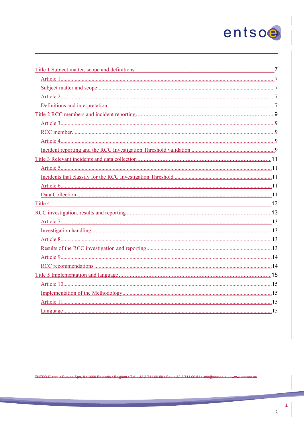# entsoe

 $\ddagger$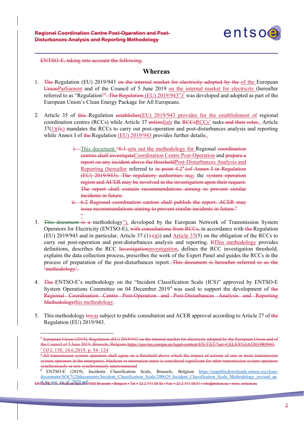

ENTSO-E, taking into account the following,

 $\leq$ 

j

1

#### **Whereas**

- 1. The Regulation (EU) 2019/943 on the internal market for electricity adopted by the of the European UnionParliament and of the Council of 5 June 2019 on the internal market for electricity (hereafter referred to as "Regulation<del>"<sup>1</sup>. The Regulation</del> (EU) 2019/943")<sup>2</sup> was developed and adopted as part of the European Union's Clean Energy Package for All Europeans.
- 2. Article 35 of this Regulation establishes (EU) 2019/943 provides for the establishment of regional coordination centres (RCCs) while Article 37 enlistslists the RCCsRCCs' tasks and their roles.. Article  $37(1)(i)$ ,) mandates the RCCs to carry out post-operation and post-disturbances analysis and reporting while Annex I of the Regulation (EU) 2019/943 provides further details:
	- i. This document "6.1 sets out the methodology for Regional every directioncentres shall investigateCoordination Centre Post-Operation and prepare a report on any incident above the thresholdPost-Disturbances Analysis and Reporting (hereafter referred to in point 4.2<sup>3</sup> (of Annex I in Regulation (EU) 2019/943). The regulatory authorities inas the system operation region and ACER may be involved in the investigation upon their request. The report shall contain recommendations aiming to prevent similar incidents in future.
	- ii. 6.2 Regional coordination centres shall publish the report. ACER may issue recommendations aiming to prevent similar incidents in future."
- 3. This document is a methodology"), developed by the European Network of Transmission System Operators for Electricity (ENTSO-E), with consultations from RCCs, in accordance with the Regulation (EU) 2019/943 and in particular, Article  $37-(1)$  (i) and Article  $37(5)$  on the obligation of the RCCs to carry out post-operation and post-disturbances analysis and reporting. ItThis methodology provides definitions, describes the RCC Investigationinvestigation, defines the RCC investigation threshold, explains the data collection process, prescribes the work of the Expert Panel and guides the RCCs in the process of preparation of the post-disturbances report. This document is hereafter referred to as the 'methodology'.
- 4. The ENTSO-E's methodology on the "Incident Classification Scale (ICS)" approved by ENTSO-E System Operations Committee on 04 December 2019<sup>4</sup> was used to support the development of the Regional Coordination Centre Post-Operation and Post-Disturbances Analysis and Reporting Methodologythis methodology.
- 5. This methodology is was subject to public consultation and ACER approval according to Article 27 of the Regulation (EU) 2019/943.

<sup>&</sup>lt;sup>1</sup> European Union (2019), Regulation (EU) 2019/943 on the internal market for electricity adopted by the European Union and of the Council of 5 June 2019, Brussels, Belgium https://eur-lex.europa.eu/legal-content/EN/TXT/?uri=CELEX%3A32019R0943.<br><sup>2</sup> OJ L 158, <u>14.6.2019, p. 54–124</u>

<sup>&</sup>lt;sup>3</sup>-All transmission system operators shall agree on a threshold above which the impact of actions of one or more transmission system operators in the emergency, blackout or restoration states is considered significant for other transmission system operators synchronously or non-synchronously interconnected<br>4 ENTRO E (2010)

ENTSOLE HSSL 2 Rue de Spa, BU 1000 Brussels • Belgium • Tel + 32 2 741 09 50 • Fax + 32 2 741 09 51 • info@entsoe.eu • www. entsoe.eu والمحاجمة 4 ENTSO-E (2019), Incidents Classification Scale, Brussels, Belgium https://eepublicdownloads.entsoe.eu/cleandocuments/SOC%20documents/Incident\_Classification\_Scale/200629\_Incident\_Classification\_Scale\_Methodology\_revised\_an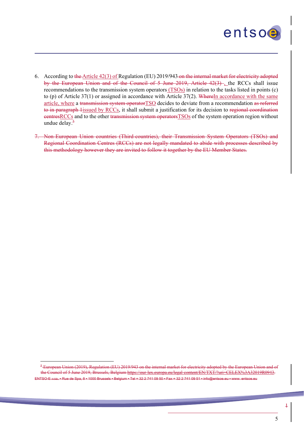

6. According to the Article 42(3) of Regulation (EU) 2019/943 on the internal market for electricity adopted by the European Union and of the Council of 5 June 2019, Article 42(3) , the RCCs shall issue recommendations to the transmission system operators (TSOs) in relation to the tasks listed in points (c) to (p) of Article  $37(1)$  or assigned in accordance with Article  $37(2)$ . WhereIn accordance with the same article, where a transmission system operator TSO decides to deviate from a recommendation as referred to in paragraph 1issued by RCCs, it shall submit a justification for its decision to regional coordination eentresRCCs and to the other transmission system operators TSOs of the system operation region without undue delay. $5$ 

j

-

7. Non-European Union countries (Third-countries), their Transmission System Operators (TSOs) and Regional Coordination Centres (RCCs) are not legally mandated to abide with processes described by this methodology however they are invited to follow it together by the EU Member States.

ENTSO-E AISBL • Rue de Spa, 8 • 1000 Brussels • Belgium • Tel + 32 2 741 09 50 • Fax + 32 2 741 09 51 • <sup>5</sup>-European Union (2019), Regulation (EU) 2019/943 on the internal market for electricity adopted by the European Union and of the Council of 5 June 2019, Brussels, Belgium https://eur-lex.europa.eu/legal-content/EN/TXT/?uri=CELEX%3A32019R0943.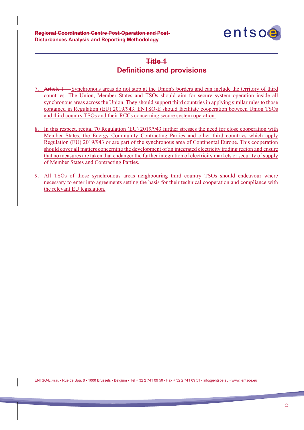**Regional Coordination Centre Post-Operation and Post-Disturbances Analysis and Reporting Methodology**

j



# **Title 1 Definitions and provisions**

- 7. Article 1 Synchronous areas do not stop at the Union's borders and can include the territory of third countries. The Union, Member States and TSOs should aim for secure system operation inside all synchronous areas across the Union. They should support third countries in applying similar rules to those contained in Regulation (EU) 2019/943. ENTSO-E should facilitate cooperation between Union TSOs and third country TSOs and their RCCs concerning secure system operation.
- 8. In this respect, recital 70 Regulation (EU) 2019/943 further stresses the need for close cooperation with Member States, the Energy Community Contracting Parties and other third countries which apply Regulation (EU) 2019/943 or are part of the synchronous area of Continental Europe. This cooperation should cover all matters concerning the development of an integrated electricity trading region and ensure that no measures are taken that endanger the further integration of electricity markets or security of supply of Member States and Contracting Parties.
- 9. All TSOs of those synchronous areas neighbouring third country TSOs should endeavour where necessary to enter into agreements setting the basis for their technical cooperation and compliance with the relevant EU legislation.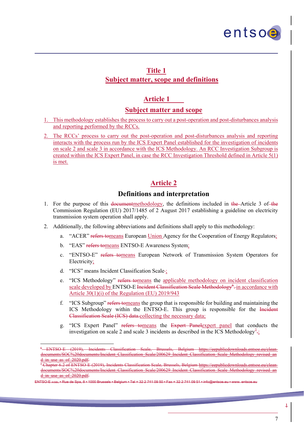

#### **Title 1 Subject matter, scope and definitions**

# **Article 1**

#### **Subject matter and scope**

- 1. This methodology establishes the process to carry out a post-operation and post-disturbances analysis and reporting performed by the RCCs.
- 2. The RCCs' process to carry out the post-operation and post-disturbances analysis and reporting interacts with the process run by the ICS Expert Panel established for the investigation of incidents on scale 2 and scale 3 in accordance with the ICS Methodology. An RCC Investigation Subgroup is created within the ICS Expert Panel, in case the RCC Investigation Threshold defined in Article 5(1) is met.

#### **Article 2**

#### **Definitions and interpretation**

- 1. For the purpose of this documentmethodology, the definitions included in the Article 3 of the Commission Regulation (EU) 2017/1485 of 2 August 2017 establishing a guideline on electricity transmission system operation shall apply.
- 2. Additionally, the following abbreviations and definitions shall apply to this methodology:
	- a. "ACER" refers tomeans European Union Agency for the Cooperation of Energy Regulators;
	- b. "EAS" refers tomeans ENTSO-E Awareness System;
	- c. "ENTSO-E" refers tomeans European Network of Transmission System Operators for Electricity;
	- d. "ICS" means Incident Classification Scale ;

j

1

- e. "ICS Methodology" refers tomeans the applicable methodology on incident classification scale developed by ENTSO-E Incident Classification Scale Methodology<sup>6</sup>-in accordance with Article 30(1)(i) of the Regulation (EU) 2019/943
- f. "ICS Subgroup" refers tomeans the group that is responsible for building and maintaining the ICS Methodology within the ENTSO-E. This group is responsible for the Incident Classification Scale (ICS) data.collecting the necessary data;
- g. "ICS Expert Panel" refers tomeans the Expert Panelexpert panel that conducts the investigation on scale 2 and scale 3 incidents as described in the ICS Methodology<sup>7</sup>;

ENTSO-E (2019), Incidents Classification Scale, Brussels, Belgium https://eepublicdownloads documents/SOC%20documents/Incident\_Classification\_Scale/200629\_Incident\_Classification\_Scale\_Methodology\_revised\_an d\_in\_use\_as\_of\_2020.pdf.

<sup>7</sup> Chapter 6.2 of ENTSO-E (2019), Incidents Classification Scale, Brussels, Belgium https://eepublicdownloads.entsoe.eu/cleandocuments/SOC%20documents/Incident\_Classification\_Scale/200629\_Incident\_Classification\_Scale\_Methodology\_revised\_an d\_in\_use\_as\_of\_2020.pdf.

 $\text{E}_{\text{EBI}}$  • Rue de Spa, 8 • 1000 Brussels • Belgium • Tel + 32, 2, 741, 09 50 • Fax + 32, 2, 741, 09 51 • info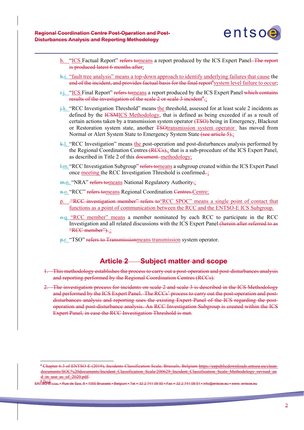j

1



- h. "ICS Factual Report" refers tomeans a report produced by the ICS Expert Panel. The report is produced latest 6 months after;
- $\frac{h}{n}$ . "fault tree analysis" means a top-down approach to identify underlying failures that cause the end of the incident, and provides factual basis for the final report<sup>8</sup>system level failure to occur;
- $\frac{1}{2}$ . "ICS Final Report" refers tomeans a report produced by the ICS Expert Panel which contains results of the investigation of the scale 2 or scale 3 incident<sup>9</sup>;
- j.k. "RCC Investigation Threshold" means the threshold, assessed for at least scale 2 incidents as defined by the ICSMICS Methodology, that is defined as being exceeded if as a result of certain actions taken by a transmission system operator (TSO) being in Emergency, Blackout or Restoration system state, another TSOtransmission system operator has moved from Normal or Alert System State to Emergency System State (see article 5).;
- $k$ . "RCC Investigation" means the post-operation and post-disturbances analysis performed by the Regional Coordination Centres (RCCs),, that is a sub-procedure of the ICS Expert Panel, as described in Title 2 of this document. methodology;
- l.m."RCC Investigation Subgroup" refers tomeans a subgroup created within the ICS Expert Panel once meeting the RCC Investigation Threshold is confirmed-;
- m.n. "NRA" refers tomeans National Regulatory Authority.;
- n.o. "RCC" refers tomeans Regional Coordination Centres. Centre;
- p. "RCC investigation member" refers to RCC SPOC" means a single point of contact that functions as a point of communication between the RCC and the ENTSO-E ICS Subgroup.
- o.q. "RCC member" means a member nominated by each RCC to participate in the RCC Investigation and all related discussions with the ICS Expert Panel (herein after referred to as "RCC member")...
- p.r. "TSO" refers to Transmissionmeans transmission system operator.

#### **Article 2 Subject matter and scope**

- 1. This methodology establishes the process to carry out a post-operation and post-disturbances analysis and reporting performed by the Regional Coordination Centres (RCCs).
- 2. The investigation process for incidents on scale 2 and scale 3 is described in the ICS Methodology and performed by the ICS Expert Panel. The RCCs' process to carry out the post-operation and postdisturbances analysis and reporting uses the existing Expert Panel of the ICS regarding the postoperation and post-disturbance analysis. An RCC Investigation Subgroup is created within the ICS Expert Panel, in case the RCC Investigation Threshold is met.

<sup>8</sup> Chapter 6.3 of ENTSO-E (2019), Incidents Classification Scale, Brussels, Belgium https://eepublicdownloads.entsoe.eu/cleandocuments/SOC%20documents/Incident\_Classification\_Scale/200629\_Incident\_Classification\_Scale\_Methodology\_revised\_an d\_in\_use\_as\_of\_2020.pdf.

ents **Rue de Spa, 8 • 1000** a<del>lbid.</del>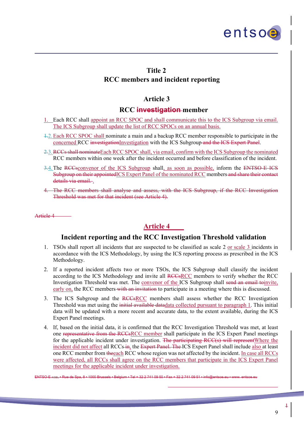

#### **Title 2 RCC members and incident reporting**

#### **Article 3**

#### **RCC investigation member**

- 1. Each RCC shall appoint an RCC SPOC and shall communicate this to the ICS Subgroup via email. The ICS Subgroup shall update the list of RCC SPOCs on an annual basis.
- 1.2.Each RCC SPOC shall nominate a main and a backup RCC member responsible to participate in the concerned RCC investigationInvestigation with the ICS Subgroup and the ICS Expert Panel.
- 2.3. RCCs shall nominate Each RCC SPOC shall, via email, confirm with the ICS Subgroup the nominated RCC members within one week after the incident occurred and before classification of the incident.
- 3.4. The RCCsconvenor of the ICS Subgroup shall, as soon as possible, inform the ENTSO-E-ICS Subgroup on their appointedICS Expert Panel of the nominated RCC members and share their contact details via email...
- 4. The RCC members shall analyse and assess, with the ICS Subgroup, if the RCC Investigation Threshold was met for that incident (see Article 4).

Article 4

j

## **Article 4**

#### **Incident reporting and the RCC Investigation Threshold validation**

- 1. TSOs shall report all incidents that are suspected to be classified as scale 2 or scale 3 incidents in accordance with the ICS Methodology, by using the ICS reporting process as prescribed in the ICS Methodology.
- 2. If a reported incident affects two or more TSOs, the ICS Subgroup shall classify the incident according to the ICS Methodology and invite all RCCsRCC members to verify whether the RCC Investigation Threshold was met. The convenor of the ICS Subgroup shall send an email toinvite, early on, the RCC members with an invitation to participate in a meeting where this is discussed.
- 3. The ICS Subgroup and the RCCsRCC members shall assess whether the RCC Investigation Threshold was met using the initial available datadata collected pursuant to paragraph 1. This initial data will be updated with a more recent and accurate data, to the extent available, during the ICS Expert Panel meetings.
- 4. If, based on the initial data, it is confirmed that the RCC Investigation Threshold was met, at least one representative from the RCCsRCC member shall participate in the ICS Expert Panel meetings for the applicable incident under investigation. The participating RCC(s) will represent Where the incident did not affect all RCCs in, the Expert Panel. The ICS Expert Panel shall include also at least one RCC member from theeach RCC whose region was not affected by the incident. In case all RCCs were affected, all RCCs shall agree on the RCC members that participate in the ICS Expert Panel meetings for the applicable incident under investigation.

-

ENTSO-E AISBL • Rue de Spa, 8 • 1000 Brussels • Belgium • Tel + 32 2 741 09 50 • Fax + 32 2 741 09 51 • info@entsoe.eu • www. entsoe.eu

 $\ddagger$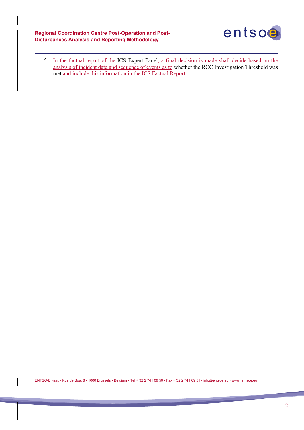**Regional Coordination Centre Post-Operation and Post-Disturbances Analysis and Reporting Methodology**

j



5. In the factual report of the ICS Expert Panel, a final decision is made shall decide based on the analysis of incident data and sequence of events as to whether the RCC Investigation Threshold was met and include this information in the ICS Factual Report.

ENTSO-E AISBL • Rue de Spa, 8 • 1000 Brussels • Belgium • Tel + 32 2 741 09 50 • Fax + 32 2 741 09 51 • info@entsoe.eu • www. entsoe.eu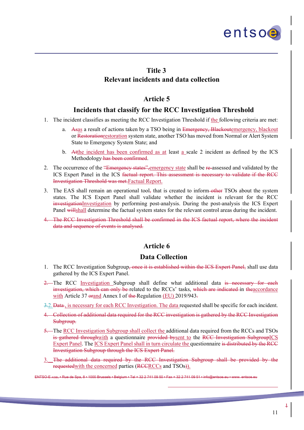

## **Title 3**

j

#### **Relevant incidents and data collection**

#### **Article 5**

#### **Incidents that classify for the RCC Investigation Threshold**

- 1. The incident classifies as meeting the RCC Investigation Threshold if the following criteria are met:
	- a. Asas a result of actions taken by a TSO being in Emergency, Blackoutemergency, blackout or Restorationrestoration system state, another TSO has moved from Normal or Alert System State to Emergency System State; and
	- b. Atthe incident has been confirmed as at least a scale 2 incident as defined by the ICS Methodology has been confirmed.
- 2. The occurrence of the "Emergency states", emergency state shall be re-assessed and validated by the ICS Expert Panel in the ICS factual report. This assessment is necessary to validate if the RCC Investigation Threshold was met.Factual Report.
- 3. The EAS shall remain an operational tool, that is created to inform-other TSOs about the system states. The ICS Expert Panel shall validate whether the incident is relevant for the RCC investigationInvestigation by performing post-analysis. During the post-analysis the ICS Expert Panel willshall determine the factual system states for the relevant control areas during the incident.
- 4. The RCC Investigation Threshold shall be confirmed in the ICS factual report, where the incident data and sequence of events is analysed.

# **Article 6**

#### **Data Collection**

- 1. The RCC Investigation Subgroup<del>, once it is established within the ICS Expert Panel,</del> shall use data gathered by the ICS Expert Panel.
- 2. The RCC Investigation Subgroup shall define what additional data is necessary for each investigation, which can only be related to the RCCs' tasks, which are indicated in theaccordance with Article 37 orand Annex I of the Regulation (EU) 2019/943.
- 3.2. Data, is necessary for each RCC Investigation. The data requested shall be specific for each incident.
- 4. Collection of additional data required for the RCC investigation is gathered by the RCC Investigation Subgroup.
- 5. The RCC Investigation Subgroup shall collect the additional data required from the RCCs and TSOs is gathered throughwith a questionnaire provided bysent to the RCC Investigation SubgroupICS Expert Panel. The ICS Expert Panel shall in turn circulate the questionnaire is distributed by the RCC Investigation Subgroup through the ICS Expert Panel.
- 3. The additional data required by the RCC Investigation Subgroup shall be provided by the requested with the concerned parties (RCCRCCs and TSOs).

-

ENTSO-E AISBL • Rue de Spa, 8 • 1000 Brussels • Belgium • Tel + 32 2 741 09 50 • Fax + 32 2 741 09 51 • info@entsoe.eu • www. entsoe.eu

1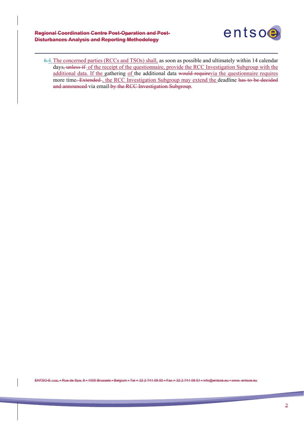**Regional Coordination Centre Post-Operation and Post-Disturbances Analysis and Reporting Methodology**

j



6.4.The concerned parties (RCCs and TSOs) shall, as soon as possible and ultimately within 14 calendar days, unless if of the receipt of the questionnaire, provide the RCC Investigation Subgroup with the additional data. If the gathering of the additional data would requirevia the questionnaire requires more time. Extended , the RCC Investigation Subgroup may extend the deadline has to be decided and announced via email by the RCC Investigation Subgroup.

ENTSO-E AISBL • Rue de Spa, 8 • 1000 Brussels • Belgium • Tel + 32 2 741 09 50 • Fax + 32 2 741 09 51 • info@entsoe.eu • www. entsoe.eu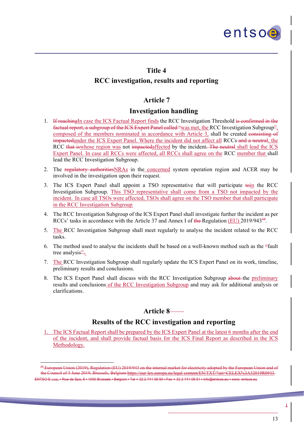

#### **Title 4**

j

-

#### **RCC investigation, results and reporting**

#### **Article 7**

#### **Investigation handling**

- 1. If reachingIn case the ICS Factual Report finds the RCC Investigation Threshold is confirmed in the factual report, a subgroup of the ICS Expert Panel called "was met, the RCC Investigation Subgroup", composed of the members nominated in accordance with Article 3, shall be created consisting of impactedunder the ICS Expert Panel. Where the incident did not affect all RCCs-and a neutral, the RCC that iswhose region was not impactedaffected by the incident. The neutral shall lead the ICS Expert Panel. In case all RCCs were affected, all RCCs shall agree on the RCC member that shall lead the RCC Investigation Subgroup.
- 2. The regulatory authorities NRAs in the concerned system operation region and ACER may be involved in the investigation upon their request.
- 3. The ICS Expert Panel shall appoint a TSO representative that will participate  $\frac{1}{2}$  the RCC Investigation Subgroup. This TSO representative shall come from a TSO not impacted by the incident. In case all TSOs were affected, TSOs shall agree on the TSO member that shall participate in the RCC Investigation Subgroup.
- 4. The RCC Investigation Subgroup of the ICS Expert Panel shall investigate further the incident as per RCCs' tasks in accordance with the Article 37 and Annex I of the Regulation (EU)  $2019/943^{10}$ .
- 5. The RCC Investigation Subgroup shall meet regularly to analyse the incident related to the RCC tasks.
- 6. The method used to analyse the incidents shall be based on a well-known method such as the "fault tree analysis"...
- 7. The RCC Investigation Subgroup shall regularly update the ICS Expert Panel on its work, timeline, preliminary results and conclusions.
- 8. The ICS Expert Panel shall discuss with the RCC Investigation Subgroup about the preliminary results and conclusions of the RCC Investigation Subgroup and may ask for additional analysis or clarifications.

# **Article 8**

#### **Results of the RCC investigation and reporting**

1. The ICS Factual Report shall be prepared by the ICS Expert Panel at the latest 6 months after the end of the incident, and shall provide factual basis for the ICS Final Report as described in the ICS Methodology.

ENTSO-E AISBL • Rue de Spa, 8 • 1000 Brussels • Belgium • Tel + 32 2 741 09 50 • Fax + 32 2 741 09 51 • info@entsoe.eu • www. entsoe.eu  $10$  European Union (2019), Regulation (EU) 2019/943 on the internal market for the Council of 5 June 2019, Brussels, Belgium https://europa.europa.europa.eu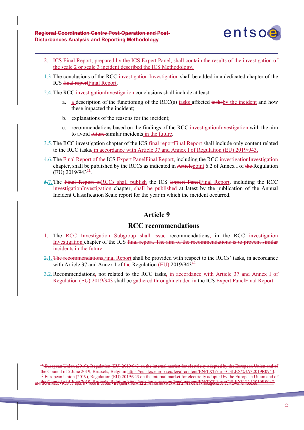j

1



- 2. ICS Final Report, prepared by the ICS Expert Panel, shall contain the results of the investigation of the scale 2 or scale 3 incident described the ICS Methodology.
- 1.3.The conclusions of the RCC investigation Investigation shall be added in a dedicated chapter of the ICS final reportFinal Report.

2.4. The RCC investigationInvestigation conclusions shall include at least:

- a.  $\alpha$  description of the functioning of the RCC(s) tasks affected tasks by the incident and how these impacted the incident;
- b. explanations of the reasons for the incident;
- c. recommendations based on the findings of the RCC investigationInvestigation with the aim to avoid future similar incidents in the future.
- 3.5. The RCC investigation chapter of the ICS final report Final Report shall include only content related to the RCC tasks-in accordance with Article 37 and Annex I of Regulation (EU) 2019/943.
- 4.6. The Final Report of the ICS Expert Panel Final Report, including the RCC investigation Investigation chapter, shall be published by the RCCs as indicated in Articlepoint 6.2 of Annex I of the Regulation  $(EU)$  2019/943<sup> $+1$ </sup>.
- 5.7. The Final Report of RCCs shall publish the ICS Expert Panel Final Report, including the RCC investigationInvestigation chapter, shall be published at latest by the publication of the Annual Incident Classification Scale report for the year in which the incident occurred.

#### **Article 9**

#### **RCC recommendations**

- 1. The RCC Investigation Subgroup shall issue recommendations, in the RCC investigation Investigation chapter of the ICS final report. The aim of the recommendations is to prevent similar incidents in the future.
- 2.1.The recommendationsFinal Report shall be provided with respect to the RCCs' tasks, in accordance with Article 37 and Annex I of the Regulation  $(EU)$  2019/943<sup> $+2$ </sup>.
- 3.2.Recommendations, not related to the RCC tasks, in accordance with Article 37 and Annex I of Regulation (EU) 2019/943 shall be gathered throughincluded in the ICS Expert PanelFinal Report.

EN <del>ISO EQNIC I RIS 3.5 June 2019, Brussels, Belgium bttps://gur\_lax.gytopa.ey/legal.cantort/FN/TYT/2uri=CELEY%3A32019R0943.<br>EN ISO EQNIC I RIS 3.9 TOO Brussels Belgium bttps://gur\_lax.gytopa.ey/legal.cantort/FN/TYT/2uri=C</del> <sup>++</sup> European Union (2019), Regulation (EU) 2019/943 on the internal market for electricity adopted by the European Union and of the Council of 5 June 2019, Brussels, Belgium https://eur-lex.europa.eu/legal-content/EN/TXT/?uri=CELEX%3A32019R0943.<br><sup>+2</sup> European Union (2019), Regulation (EU) 2019/943 on the internal market for electricity adopted by t